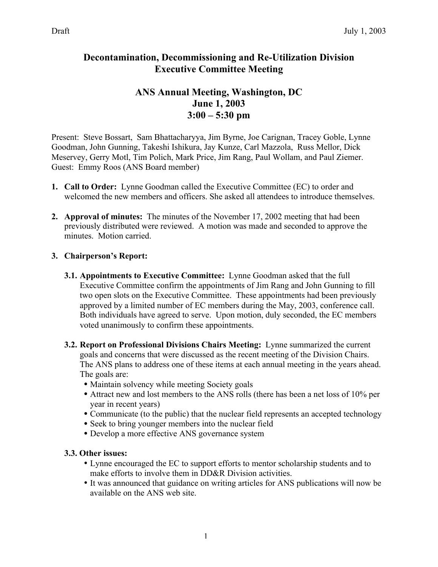## **Decontamination, Decommissioning and Re-Utilization Division Executive Committee Meeting**

# **ANS Annual Meeting, Washington, DC June 1, 2003 3:00 – 5:30 pm**

Present: Steve Bossart, Sam Bhattacharyya, Jim Byrne, Joe Carignan, Tracey Goble, Lynne Goodman, John Gunning, Takeshi Ishikura, Jay Kunze, Carl Mazzola, Russ Mellor, Dick Meservey, Gerry Motl, Tim Polich, Mark Price, Jim Rang, Paul Wollam, and Paul Ziemer. Guest: Emmy Roos (ANS Board member)

- **1. Call to Order:** Lynne Goodman called the Executive Committee (EC) to order and welcomed the new members and officers. She asked all attendees to introduce themselves.
- **2. Approval of minutes:** The minutes of the November 17, 2002 meeting that had been previously distributed were reviewed. A motion was made and seconded to approve the minutes. Motion carried.

#### **3. Chairperson's Report:**

- **3.1. Appointments to Executive Committee:** Lynne Goodman asked that the full Executive Committee confirm the appointments of Jim Rang and John Gunning to fill two open slots on the Executive Committee. These appointments had been previously approved by a limited number of EC members during the May, 2003, conference call. Both individuals have agreed to serve. Upon motion, duly seconded, the EC members voted unanimously to confirm these appointments.
- **3.2. Report on Professional Divisions Chairs Meeting:** Lynne summarized the current goals and concerns that were discussed as the recent meeting of the Division Chairs. The ANS plans to address one of these items at each annual meeting in the years ahead. The goals are:

• Maintain solvency while meeting Society goals

• Attract new and lost members to the ANS rolls (there has been a net loss of 10% per year in recent years)

• Communicate (to the public) that the nuclear field represents an accepted technology Seek to bring younger members into the nuclear field

• Develop a more effective ANS governance system

#### **3.3. Other issues:**

Lynne encouraged the EC to support efforts to mentor scholarship students and to make efforts to involve them in DD&R Division activities.

It was announced that guidance on writing articles for ANS publications will now be available on the ANS web site.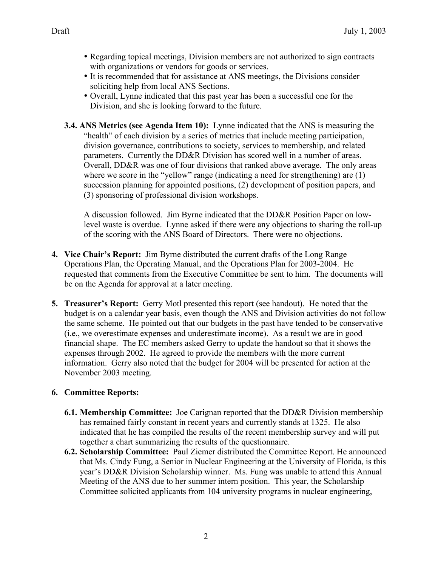Regarding topical meetings, Division members are not authorized to sign contracts with organizations or vendors for goods or services.

It is recommended that for assistance at ANS meetings, the Divisions consider soliciting help from local ANS Sections.

Overall, Lynne indicated that this past year has been a successful one for the Division, and she is looking forward to the future.

**3.4. ANS Metrics (see Agenda Item 10):** Lynne indicated that the ANS is measuring the "health" of each division by a series of metrics that include meeting participation, division governance, contributions to society, services to membership, and related parameters. Currently the DD&R Division has scored well in a number of areas. Overall, DD&R was one of four divisions that ranked above average. The only areas where we score in the "yellow" range (indicating a need for strengthening) are (1) succession planning for appointed positions, (2) development of position papers, and (3) sponsoring of professional division workshops.

A discussion followed. Jim Byrne indicated that the DD&R Position Paper on lowlevel waste is overdue. Lynne asked if there were any objections to sharing the roll-up of the scoring with the ANS Board of Directors. There were no objections.

- **4. Vice Chair's Report:** Jim Byrne distributed the current drafts of the Long Range Operations Plan, the Operating Manual, and the Operations Plan for 2003-2004. He requested that comments from the Executive Committee be sent to him. The documents will be on the Agenda for approval at a later meeting.
- **5. Treasurer's Report:** Gerry Motl presented this report (see handout). He noted that the budget is on a calendar year basis, even though the ANS and Division activities do not follow the same scheme. He pointed out that our budgets in the past have tended to be conservative (i.e., we overestimate expenses and underestimate income). As a result we are in good financial shape. The EC members asked Gerry to update the handout so that it shows the expenses through 2002. He agreed to provide the members with the more current information. Gerry also noted that the budget for 2004 will be presented for action at the November 2003 meeting.

### **6. Committee Reports:**

- **6.1. Membership Committee:** Joe Carignan reported that the DD&R Division membership has remained fairly constant in recent years and currently stands at 1325. He also indicated that he has compiled the results of the recent membership survey and will put together a chart summarizing the results of the questionnaire.
- **6.2. Scholarship Committee:** Paul Ziemer distributed the Committee Report. He announced that Ms. Cindy Fung, a Senior in Nuclear Engineering at the University of Florida, is this year's DD&R Division Scholarship winner. Ms. Fung was unable to attend this Annual Meeting of the ANS due to her summer intern position. This year, the Scholarship Committee solicited applicants from 104 university programs in nuclear engineering,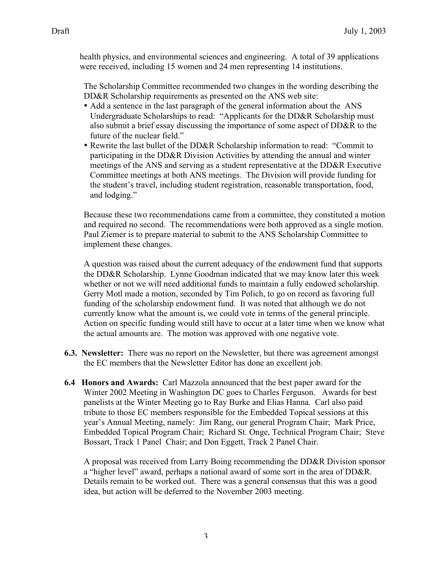health physics, and environmental sciences and engineering. A total of 39 applications were received, including 15 women and 24 men representing 14 institutions.

The Scholarship Committee recommended two changes in the wording describing the DD&R Scholarship requirements as presented on the ANS web site:

Add a sentence in the last paragraph of the general information about the ANS Undergraduate Scholarships to read: "Applicants for the DD&R Scholarship must also submit a brief essay discussing the importance of some aspect of DD&R to the future of the nuclear field."

Rewrite the last bullet of the DD&R Scholarship information to read: "Commit to participating in the DD&R Division Activities by attending the annual and winter meetings of the ANS and serving as a student representative at the DD&R Executive Committee meetings at both ANS meetings. The Division will provide funding for the student's travel, including student registration, reasonable transportation, food, and lodging."

Because these two recommendations came from a committee, they constituted a motion and required no second. The recommendations were both approved as a single motion. Paul Ziemer is to prepare material to submit to the ANS Scholarship Committee to implement these changes.

A question was raised about the current adequacy of the endowment fund that supports the DD&R Scholarship. Lynne Goodman indicated that we may know later this week whether or not we will need additional funds to maintain a fully endowed scholarship. Gerry Motl made a motion, seconded by Tim Polich, to go on record as favoring full funding of the scholarship endowment fund. It was noted that although we do not currently know what the amount is, we could vote in terms of the general principle. Action on specific funding would still have to occur at a later time when we know what the actual amounts are. The motion was approved with one negative vote.

- **6.3. Newsletter:** There was no report on the Newsletter, but there was agreement amongst the EC members that the Newsletter Editor has done an excellent job.
- **6.4 Honors and Awards:** Carl Mazzola announced that the best paper award for the Winter 2002 Meeting in Washington DC goes to Charles Ferguson. Awards for best panelists at the Winter Meeting go to Ray Burke and Elias Hanna. Carl also paid tribute to those EC members responsible for the Embedded Topical sessions at this year's Annual Meeting, namely: Jim Rang, our general Program Chair; Mark Price, Embedded Topical Program Chair; Richard St. Onge, Technical Program Chair; Steve Bossart, Track 1 Panel Chair; and Don Eggett, Track 2 Panel Chair.

A proposal was received from Larry Boing recommending the DD&R Division sponsor a "higher level" award, perhaps a national award of some sort in the area of DD&R. Details remain to be worked out. There was a general consensus that this was a good idea, but action will be deferred to the November 2003 meeting.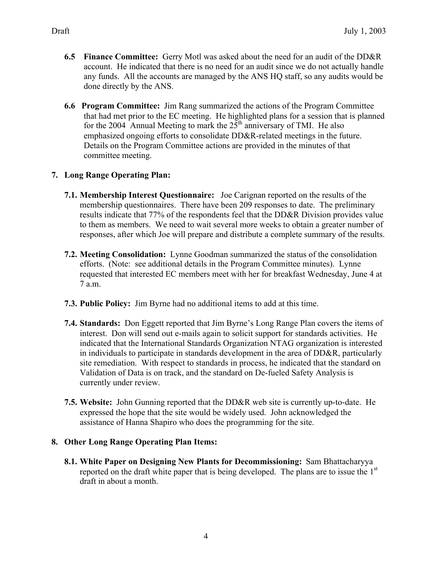- **6.5 Finance Committee:** Gerry Motl was asked about the need for an audit of the DD&R account. He indicated that there is no need for an audit since we do not actually handle any funds. All the accounts are managed by the ANS HQ staff, so any audits would be done directly by the ANS.
- **6.6 Program Committee:** Jim Rang summarized the actions of the Program Committee that had met prior to the EC meeting. He highlighted plans for a session that is planned for the 2004 Annual Meeting to mark the  $25<sup>th</sup>$  anniversary of TMI. He also emphasized ongoing efforts to consolidate DD&R-related meetings in the future. Details on the Program Committee actions are provided in the minutes of that committee meeting.

### **7. Long Range Operating Plan:**

- **7.1. Membership Interest Questionnaire:** Joe Carignan reported on the results of the membership questionnaires. There have been 209 responses to date. The preliminary results indicate that 77% of the respondents feel that the DD&R Division provides value to them as members. We need to wait several more weeks to obtain a greater number of responses, after which Joe will prepare and distribute a complete summary of the results.
- **7.2. Meeting Consolidation:** Lynne Goodman summarized the status of the consolidation efforts. (Note: see additional details in the Program Committee minutes). Lynne requested that interested EC members meet with her for breakfast Wednesday, June 4 at 7 a.m.
- **7.3. Public Policy:** Jim Byrne had no additional items to add at this time.
- **7.4. Standards:** Don Eggett reported that Jim Byrne's Long Range Plan covers the items of interest. Don will send out e-mails again to solicit support for standards activities. He indicated that the International Standards Organization NTAG organization is interested in individuals to participate in standards development in the area of DD&R, particularly site remediation. With respect to standards in process, he indicated that the standard on Validation of Data is on track, and the standard on De-fueled Safety Analysis is currently under review.
- **7.5. Website:** John Gunning reported that the DD&R web site is currently up-to-date. He expressed the hope that the site would be widely used. John acknowledged the assistance of Hanna Shapiro who does the programming for the site.

### **8. Other Long Range Operating Plan Items:**

**8.1. White Paper on Designing New Plants for Decommissioning:** Sam Bhattacharyya reported on the draft white paper that is being developed. The plans are to issue the  $1<sup>st</sup>$ draft in about a month.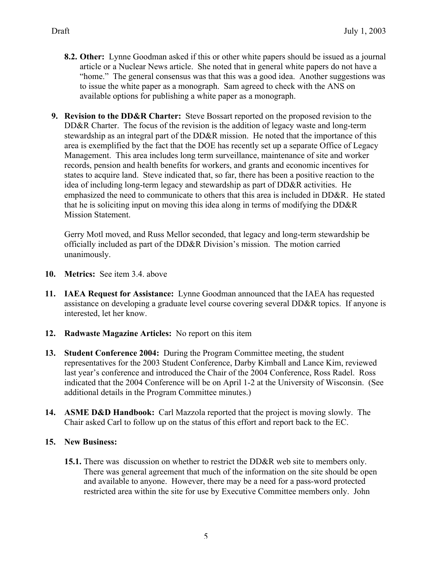- **8.2. Other:** Lynne Goodman asked if this or other white papers should be issued as a journal article or a Nuclear News article. She noted that in general white papers do not have a "home." The general consensus was that this was a good idea. Another suggestions was to issue the white paper as a monograph. Sam agreed to check with the ANS on available options for publishing a white paper as a monograph.
- **9. Revision to the DD&R Charter:** Steve Bossart reported on the proposed revision to the DD&R Charter. The focus of the revision is the addition of legacy waste and long-term stewardship as an integral part of the DD&R mission. He noted that the importance of this area is exemplified by the fact that the DOE has recently set up a separate Office of Legacy Management. This area includes long term surveillance, maintenance of site and worker records, pension and health benefits for workers, and grants and economic incentives for states to acquire land. Steve indicated that, so far, there has been a positive reaction to the idea of including long-term legacy and stewardship as part of DD&R activities. He emphasized the need to communicate to others that this area is included in DD&R. He stated that he is soliciting input on moving this idea along in terms of modifying the DD&R Mission Statement.

Gerry Motl moved, and Russ Mellor seconded, that legacy and long-term stewardship be officially included as part of the DD&R Division's mission. The motion carried unanimously.

- **10. Metrics:** See item 3.4. above
- **11. IAEA Request for Assistance:** Lynne Goodman announced that the IAEA has requested assistance on developing a graduate level course covering several DD&R topics. If anyone is interested, let her know.
- **12. Radwaste Magazine Articles:** No report on this item
- **13. Student Conference 2004:** During the Program Committee meeting, the student representatives for the 2003 Student Conference, Darby Kimball and Lance Kim, reviewed last year's conference and introduced the Chair of the 2004 Conference, Ross Radel. Ross indicated that the 2004 Conference will be on April 1-2 at the University of Wisconsin. (See additional details in the Program Committee minutes.)
- **14. ASME D&D Handbook:** Carl Mazzola reported that the project is moving slowly. The Chair asked Carl to follow up on the status of this effort and report back to the EC.

### **15. New Business:**

**15.1.** There was discussion on whether to restrict the DD&R web site to members only. There was general agreement that much of the information on the site should be open and available to anyone. However, there may be a need for a pass-word protected restricted area within the site for use by Executive Committee members only. John